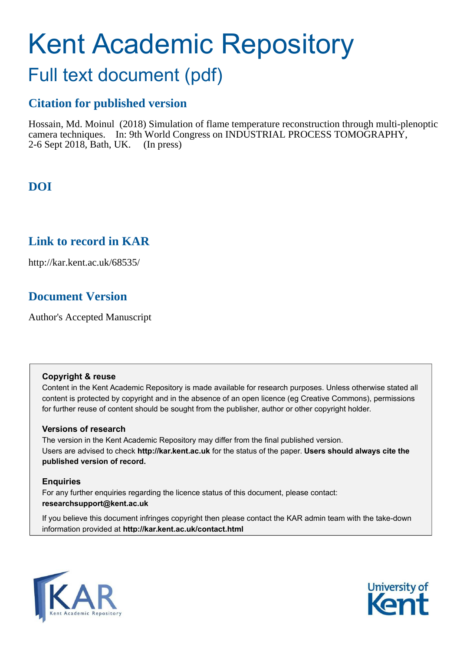# Kent Academic Repository

## Full text document (pdf)

## **Citation for published version**

Hossain, Md. Moinul (2018) Simulation of flame temperature reconstruction through multi-plenoptic camera techniques. In: 9th World Congress on INDUSTRIAL PROCESS TOMOGRAPHY, 2-6 Sept 2018, Bath, UK. (In press)

## **DOI**

### **Link to record in KAR**

http://kar.kent.ac.uk/68535/

## **Document Version**

Author's Accepted Manuscript

#### **Copyright & reuse**

Content in the Kent Academic Repository is made available for research purposes. Unless otherwise stated all content is protected by copyright and in the absence of an open licence (eg Creative Commons), permissions for further reuse of content should be sought from the publisher, author or other copyright holder.

#### **Versions of research**

The version in the Kent Academic Repository may differ from the final published version. Users are advised to check **http://kar.kent.ac.uk** for the status of the paper. **Users should always cite the published version of record.**

#### **Enquiries**

For any further enquiries regarding the licence status of this document, please contact: **researchsupport@kent.ac.uk**

If you believe this document infringes copyright then please contact the KAR admin team with the take-down information provided at **http://kar.kent.ac.uk/contact.html**



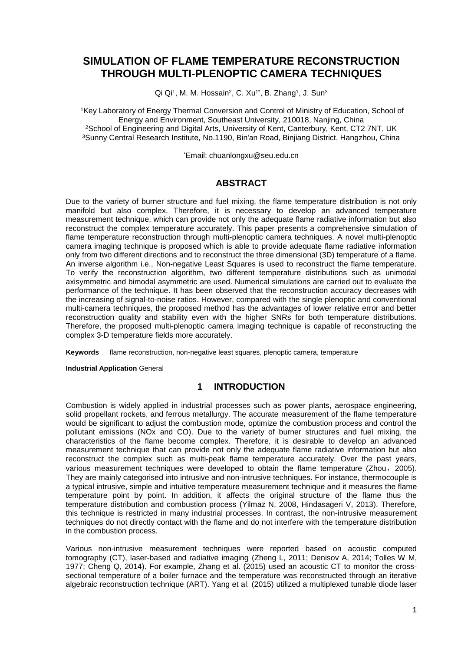#### **SIMULATION OF FLAME TEMPERATURE RECONSTRUCTION THROUGH MULTI-PLENOPTIC CAMERA TECHNIQUES**

Qi Qi<sup>1</sup>, M. M. Hossain<sup>2</sup>, <u>C. Xu<sup>1\*</sup>,</u> B. Zhang<sup>1</sup>, J. Sun<sup>3</sup>

Key Laboratory of Energy Thermal Conversion and Control of Ministry of Education, School of Energy and Environment, Southeast University, 210018, Nanjing, China School of Engineering and Digital Arts, University of Kent, Canterbury, Kent, CT2 7NT, UK Sunny Central Research Institute, No.1190, Bin'an Road, Binjiang District, Hangzhou, China

\*Email: chuanlongxu@seu.edu.cn

#### **ABSTRACT**

Due to the variety of burner structure and fuel mixing, the flame temperature distribution is not only manifold but also complex. Therefore, it is necessary to develop an advanced temperature measurement technique, which can provide not only the adequate flame radiative information but also reconstruct the complex temperature accurately. This paper presents a comprehensive simulation of flame temperature reconstruction through multi-plenoptic camera techniques. A novel multi-plenoptic camera imaging technique is proposed which is able to provide adequate flame radiative information only from two different directions and to reconstruct the three dimensional (3D) temperature of a flame. An inverse algorithm i.e., Non-negative Least Squares is used to reconstruct the flame temperature. To verify the reconstruction algorithm, two different temperature distributions such as unimodal axisymmetric and bimodal asymmetric are used. Numerical simulations are carried out to evaluate the performance of the technique. It has been observed that the reconstruction accuracy decreases with the increasing of signal-to-noise ratios. However, compared with the single plenoptic and conventional multi-camera techniques, the proposed method has the advantages of lower relative error and better reconstruction quality and stability even with the higher SNRs for both temperature distributions. Therefore, the proposed multi-plenoptic camera imaging technique is capable of reconstructing the complex 3-D temperature fields more accurately.

**Keywords** flame reconstruction, non-negative least squares, plenoptic camera, temperature

**Industrial Application** General

#### **1 INTRODUCTION**

Combustion is widely applied in industrial processes such as power plants, aerospace engineering, solid propellant rockets, and ferrous metallurgy. The accurate measurement of the flame temperature would be significant to adjust the combustion mode, optimize the combustion process and control the pollutant emissions (NOx and CO). Due to the variety of burner structures and fuel mixing, the characteristics of the flame become complex. Therefore, it is desirable to develop an advanced measurement technique that can provide not only the adequate flame radiative information but also reconstruct the complex such as multi-peak flame temperature accurately. Over the past years, various measurement techniques were developed to obtain the flame temperature (Zhou, 2005). They are mainly categorised into intrusive and non-intrusive techniques. For instance, thermocouple is a typical intrusive, simple and intuitive temperature measurement technique and it measures the flame temperature point by point. In addition, it affects the original structure of the flame thus the temperature distribution and combustion process (Yilmaz N, 2008, Hindasageri V, 2013). Therefore, this technique is restricted in many industrial processes. In contrast, the non-intrusive measurement techniques do not directly contact with the flame and do not interfere with the temperature distribution in the combustion process.

Various non-intrusive measurement techniques were reported based on acoustic computed tomography (CT), laser-based and radiative imaging (Zheng L, 2011; Denisov A, 2014; Tolles W M, 1977; Cheng Q, 2014). For example, Zhang et al. (2015) used an acoustic CT to monitor the crosssectional temperature of a boiler furnace and the temperature was reconstructed through an iterative algebraic reconstruction technique (ART). Yang et al. (2015) utilized a multiplexed tunable diode laser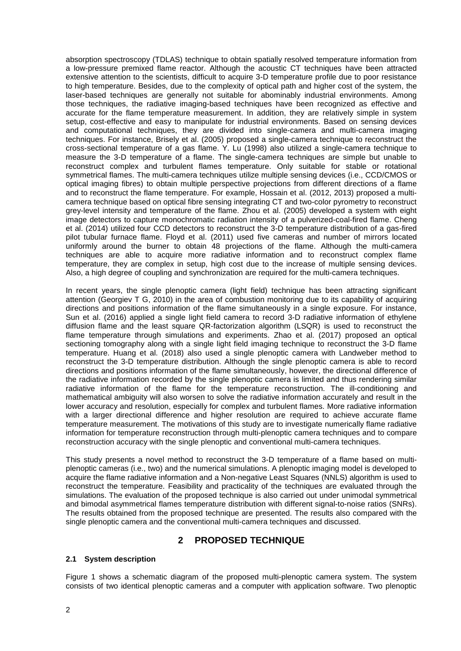absorption spectroscopy (TDLAS) technique to obtain spatially resolved temperature information from a low-pressure premixed flame reactor. Although the acoustic CT techniques have been attracted extensive attention to the scientists, difficult to acquire 3-D temperature profile due to poor resistance to high temperature. Besides, due to the complexity of optical path and higher cost of the system, the laser-based techniques are generally not suitable for abominably industrial environments. Among those techniques, the radiative imaging-based techniques have been recognized as effective and accurate for the flame temperature measurement. In addition, they are relatively simple in system setup, cost-effective and easy to manipulate for industrial environments. Based on sensing devices and computational techniques, they are divided into single-camera and multi-camera imaging techniques. For instance, Brisely et al. (2005) proposed a single-camera technique to reconstruct the cross-sectional temperature of a gas flame. Y. Lu (1998) also utilized a single-camera technique to measure the 3-D temperature of a flame. The single-camera techniques are simple but unable to reconstruct complex and turbulent flames temperature. Only suitable for stable or rotational symmetrical flames. The multi-camera techniques utilize multiple sensing devices (i.e., CCD/CMOS or optical imaging fibres) to obtain multiple perspective projections from different directions of a flame and to reconstruct the flame temperature. For example, Hossain et al. (2012, 2013) proposed a multicamera technique based on optical fibre sensing integrating CT and two-color pyrometry to reconstruct grey-level intensity and temperature of the flame. Zhou et al. (2005) developed a system with eight image detectors to capture monochromatic radiation intensity of a pulverized-coal-fired flame. Cheng et al. (2014) utilized four CCD detectors to reconstruct the 3-D temperature distribution of a gas-fired pilot tubular furnace flame. Floyd et al. (2011) used five cameras and number of mirrors located uniformly around the burner to obtain 48 projections of the flame. Although the multi-camera techniques are able to acquire more radiative information and to reconstruct complex flame temperature, they are complex in setup, high cost due to the increase of multiple sensing devices. Also, a high degree of coupling and synchronization are required for the multi-camera techniques.

In recent years, the single plenoptic camera (light field) technique has been attracting significant attention (Georgiev T G, 2010) in the area of combustion monitoring due to its capability of acquiring directions and positions information of the flame simultaneously in a single exposure. For instance, Sun et al. (2016) applied a single light field camera to record 3-D radiative information of ethylene diffusion flame and the least square QR-factorization algorithm (LSQR) is used to reconstruct the flame temperature through simulations and experiments. Zhao et al. (2017) proposed an optical sectioning tomography along with a single light field imaging technique to reconstruct the 3-D flame temperature. Huang et al. (2018) also used a single plenoptic camera with Landweber method to reconstruct the 3-D temperature distribution. Although the single plenoptic camera is able to record directions and positions information of the flame simultaneously, however, the directional difference of the radiative information recorded by the single plenoptic camera is limited and thus rendering similar radiative information of the flame for the temperature reconstruction. The ill-conditioning and mathematical ambiguity will also worsen to solve the radiative information accurately and result in the lower accuracy and resolution, especially for complex and turbulent flames. More radiative information with a larger directional difference and higher resolution are required to achieve accurate flame temperature measurement. The motivations of this study are to investigate numerically flame radiative information for temperature reconstruction through multi-plenoptic camera techniques and to compare reconstruction accuracy with the single plenoptic and conventional multi-camera techniques.

This study presents a novel method to reconstruct the 3-D temperature of a flame based on multiplenoptic cameras (i.e., two) and the numerical simulations. A plenoptic imaging model is developed to acquire the flame radiative information and a Non-negative Least Squares (NNLS) algorithm is used to reconstruct the temperature. Feasibility and practicality of the techniques are evaluated through the simulations. The evaluation of the proposed technique is also carried out under unimodal symmetrical and bimodal asymmetrical flames temperature distribution with different signal-to-noise ratios (SNRs). The results obtained from the proposed technique are presented. The results also compared with the single plenoptic camera and the conventional multi-camera techniques and discussed.

#### **2 PROPOSED TECHNIQUE**

#### **2.1 System description**

Figure 1 shows a schematic diagram of the proposed multi-plenoptic camera system. The system consists of two identical plenoptic cameras and a computer with application software. Two plenoptic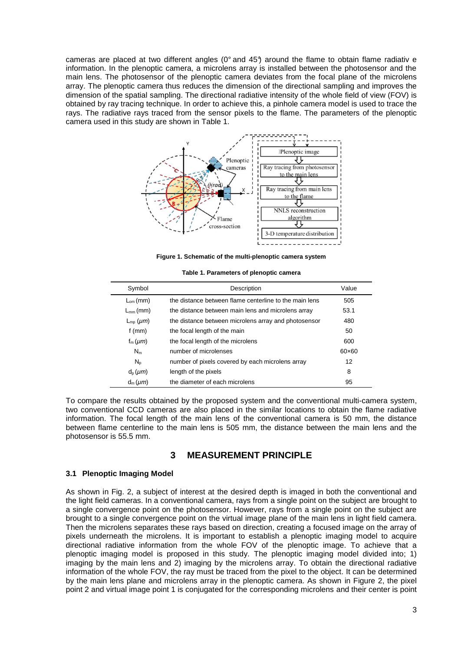cameras are placed at two different angles (0° and 45°) around the flame to obtain flame radiativ e information. In the plenoptic camera, a microlens array is installed between the photosensor and the main lens. The photosensor of the plenoptic camera deviates from the focal plane of the microlens array. The plenoptic camera thus reduces the dimension of the directional sampling and improves the dimension of the spatial sampling. The directional radiative intensity of the whole field of view (FOV) is obtained by ray tracing technique. In order to achieve this, a pinhole camera model is used to trace the rays. The radiative rays traced from the sensor pixels to the flame. The parameters of the plenoptic camera used in this study are shown in Table 1.



**Figure 1. Schematic of the multi-plenoptic camera system** 

**Table 1. Parameters of plenoptic camera** 

| Symbol                     | Description                                            | Value |
|----------------------------|--------------------------------------------------------|-------|
| $L_{\text{om}}$ (mm)       | the distance between flame centerline to the main lens | 505   |
| $L_{mm}(mm)$               | the distance between main lens and microlens array     | 53.1  |
| $L_{mp}$ ( $\mu$ m)        | the distance between microlens array and photosensor   | 480   |
| f $(mm)$                   | the focal length of the main                           | 50    |
| $f_m(\mu m)$               | the focal length of the microlens                      | 600   |
| $N_m$                      | number of microlenses                                  | 60×60 |
| $N_{\scriptscriptstyle D}$ | number of pixels covered by each microlens array       | 12    |
| $d_p(\mu m)$               | length of the pixels                                   | 8     |
| $d_m(\mu m)$               | the diameter of each microlens                         | 95    |

To compare the results obtained by the proposed system and the conventional multi-camera system, two conventional CCD cameras are also placed in the similar locations to obtain the flame radiative information. The focal length of the main lens of the conventional camera is 50 mm, the distance between flame centerline to the main lens is 505 mm, the distance between the main lens and the photosensor is 55.5 mm.

#### **3 MEASUREMENT PRINCIPLE**

#### **3.1 Plenoptic Imaging Model**

As shown in Fig. 2, a subject of interest at the desired depth is imaged in both the conventional and the light field cameras. In a conventional camera, rays from a single point on the subject are brought to a single convergence point on the photosensor. However, rays from a single point on the subject are brought to a single convergence point on the virtual image plane of the main lens in light field camera. Then the microlens separates these rays based on direction, creating a focused image on the array of pixels underneath the microlens. It is important to establish a plenoptic imaging model to acquire directional radiative information from the whole FOV of the plenoptic image. To achieve that a plenoptic imaging model is proposed in this study. The plenoptic imaging model divided into; 1) imaging by the main lens and 2) imaging by the microlens array. To obtain the directional radiative information of the whole FOV, the ray must be traced from the pixel to the object. It can be determined by the main lens plane and microlens array in the plenoptic camera. As shown in Figure 2, the pixel point 2 and virtual image point 1 is conjugated for the corresponding microlens and their center is point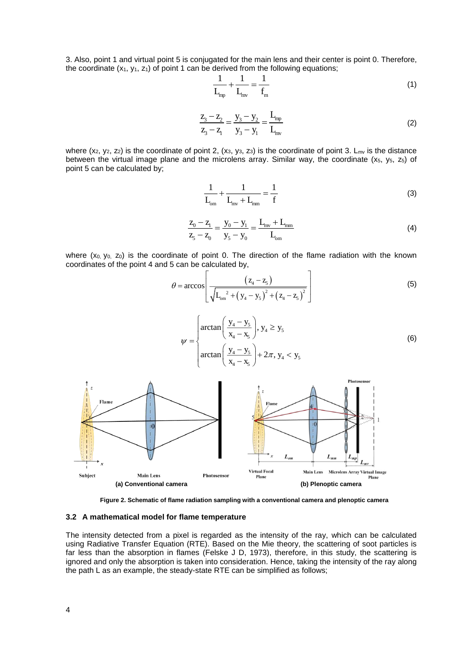3. Also, point 1 and virtual point 5 is conjugated for the main lens and their center is point 0. Therefore, the coordinate  $(x_1, y_1, z_1)$  of point 1 can be derived from the following equations;

$$
\frac{1}{L_{\rm mp}} + \frac{1}{L_{\rm mv}} = \frac{1}{f_{\rm m}}
$$
 (1)

$$
\frac{Z_3 - Z_2}{Z_3 - Z_1} = \frac{y_3 - y_2}{y_3 - y_1} = \frac{L_{\text{mp}}}{L_{\text{mv}}}
$$
(2)

where  $(x_2, y_2, z_2)$  is the coordinate of point 2,  $(x_3, y_3, z_3)$  is the coordinate of point 3.  $L_{mv}$  is the distance between the virtual image plane and the microlens array. Similar way, the coordinate  $(x_5, y_5, z_5)$  of point 5 can be calculated by;

$$
\frac{1}{L_{\text{om}}} + \frac{1}{L_{\text{mv}} + L_{\text{mm}}} = \frac{1}{f}
$$
 (3)

$$
\frac{z_0 - z_1}{z_5 - z_0} = \frac{y_0 - y_1}{y_5 - y_0} = \frac{L_{\text{mv}} + L_{\text{mm}}}{L_{\text{om}}}
$$
(4)

where  $(x_0, y_0, z_0)$  is the coordinate of point 0. The direction of the flame radiation with the known coordinates of the point 4 and 5 can be calculated by,

$$
\theta = \arccos\left[\frac{(z_4 - z_5)}{\sqrt{L_{\text{om}}^2 + (y_4 - y_5)^2 + (z_4 - z_5)^2}}\right]
$$
(5)





**Figure 2. Schematic of flame radiation sampling with a conventional camera and plenoptic camera** 

#### **3.2 A mathematical model for flame temperature**

The intensity detected from a pixel is regarded as the intensity of the ray, which can be calculated using Radiative Transfer Equation (RTE). Based on the Mie theory, the scattering of soot particles is far less than the absorption in flames (Felske J D, 1973), therefore, in this study, the scattering is ignored and only the absorption is taken into consideration. Hence, taking the intensity of the ray along the path L as an example, the steady-state RTE can be simplified as follows;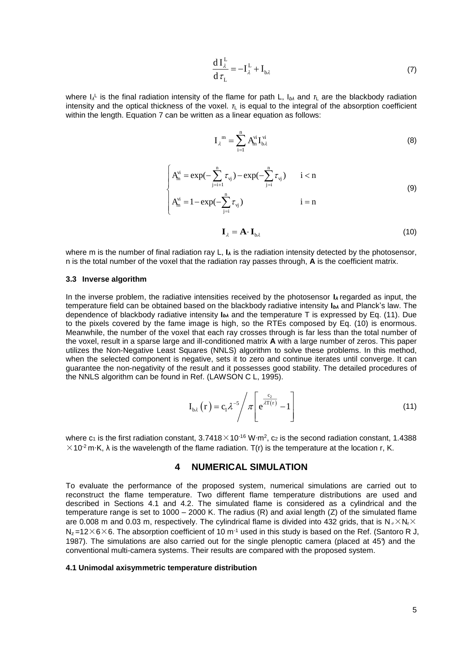$$
\frac{d I_{\lambda}^{\mathcal{L}}}{d \tau_{\mathcal{L}}} = -I_{\lambda}^{\mathcal{L}} + I_{b\lambda} \tag{7}
$$

where  $I_A^L$  is the final radiation intensity of the flame for path L,  $I_{bA}$  and  $\tau_L$  are the blackbody radiation intensity and the optical thickness of the voxel.  $r<sub>L</sub>$  is equal to the integral of the absorption coefficient within the length. Equation 7 can be written as a linear equation as follows:

$$
\mathbf{I}_{\lambda}^{\ \mathbf{m}} = \sum_{i=1}^{n} \mathbf{A}_{h}^{\mathbf{vi}} \mathbf{I}_{b\lambda}^{\mathbf{vi}}
$$
 (8)

$$
\begin{cases} A_{m}^{vi} = \exp(-\sum_{j=i+1}^{n} \tau_{vj}) - \exp(-\sum_{j=i}^{n} \tau_{vj}) & i < n \\ A_{m}^{vi} = 1 - \exp(-\sum_{j=i}^{n} \tau_{vj}) & i = n \end{cases}
$$
(9)

$$
\mathbf{I}_{\lambda} = \mathbf{A} \cdot \mathbf{I}_{b\lambda} \tag{10}
$$

where m is the number of final radiation ray L,  $I_A$  is the radiation intensity detected by the photosensor, n is the total number of the voxel that the radiation ray passes through, **A** is the coefficient matrix.

#### **3.3 Inverse algorithm**

In the inverse problem, the radiative intensities received by the photosensor **I**<sub>*A*</sub> regarded as input, the temperature field can be obtained based on the blackbody radiative intensity **I**<sub>*b*</sub> and Planck's law. The dependence of blackbody radiative intensity  $I_{b\lambda}$  and the temperature T is expressed by Eq. (11). Due to the pixels covered by the fame image is high, so the RTEs composed by Eq. (10) is enormous. Meanwhile, the number of the voxel that each ray crosses through is far less than the total number of the voxel, result in a sparse large and ill-conditioned matrix **A** with a large number of zeros. This paper utilizes the Non-Negative Least Squares (NNLS) algorithm to solve these problems. In this method, when the selected component is negative, sets it to zero and continue iterates until converge. It can guarantee the non-negativity of the result and it possesses good stability. The detailed procedures of the NNLS algorithm can be found in Ref. (LAWSON C L, 1995).

$$
\mathbf{I}_{\text{b2}}\left(\mathbf{r}\right) = \mathbf{c}_1 \lambda^{-5} \Bigg/ \pi \Bigg[ \mathbf{e}^{\frac{\mathbf{c}_2}{\lambda \mathbf{T}(\mathbf{r})}} - 1 \Bigg] \tag{11}
$$

where  $c_1$  is the first radiation constant, 3.7418 $\times$ 10<sup>-16</sup> W⋅m<sup>2</sup>,  $c_2$  is the second radiation constant, 1.4388  $\times$ 10<sup>-2</sup> m⋅K,  $\lambda$  is the wavelength of the flame radiation. T(r) is the temperature at the location r, K.

#### **4 NUMERICAL SIMULATION**

To evaluate the performance of the proposed system, numerical simulations are carried out to reconstruct the flame temperature. Two different flame temperature distributions are used and described in Sections 4.1 and 4.2. The simulated flame is considered as a cylindrical and the temperature range is set to 1000 – 2000 K. The radius (R) and axial length (Z) of the simulated flame are 0.008 m and 0.03 m, respectively. The cylindrical flame is divided into 432 grids, that is  $N_{\phi} \times N_{\text{r}} \times$  $N_z = 12 \times 6 \times 6$ . The absorption coefficient of 10 m<sup>-1</sup> used in this study is based on the Ref. (Santoro R J, 1987). The simulations are also carried out for the single plenoptic camera (placed at 45°) and the conventional multi-camera systems. Their results are compared with the proposed system.

#### **4.1 Unimodal axisymmetric temperature distribution**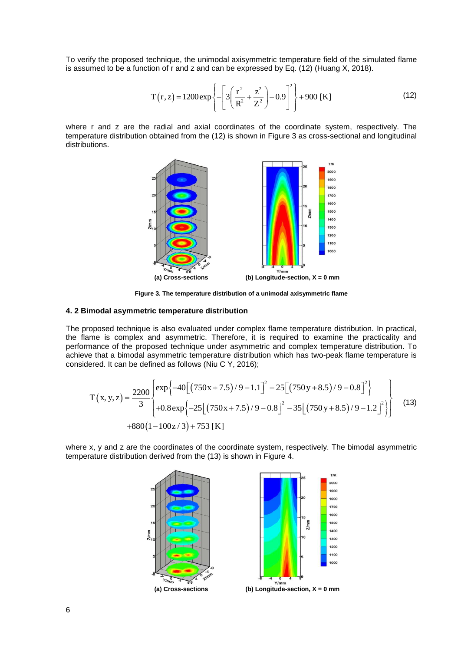To verify the proposed technique, the unimodal axisymmetric temperature field of the simulated flame is assumed to be a function of r and z and can be expressed by Eq. (12) (Huang X, 2018).

$$
T(r, z) = 1200 \exp\left\{-\left[3\left(\frac{r^2}{R^2} + \frac{z^2}{Z^2}\right) - 0.9\right]^2\right\} + 900 \text{ [K]}
$$
 (12)

where r and z are the radial and axial coordinates of the coordinate system, respectively. The temperature distribution obtained from the (12) is shown in Figure 3 as cross-sectional and longitudinal distributions.



**Figure 3. The temperature distribution of a unimodal axisymmetric flame** 

#### **4. 2 Bimodal asymmetric temperature distribution**

The proposed technique is also evaluated under complex flame temperature distribution. In practical, the flame is complex and asymmetric. Therefore, it is required to examine the practicality and performance of the proposed technique under asymmetric and complex temperature distribution. To achieve that a bimodal asymmetric temperature distribution which has two-peak flame temperature is considered. It can be defined as follows (Niu C Y, 2016);

$$
T(x, y, z) = \frac{2200}{3} \begin{cases} exp\left\{-40\left[\left(750x + 7.5\right)/9 - 1.1\right]^2 - 25\left[\left(750y + 8.5\right)/9 - 0.8\right]^2\right\} \\ + 0.8exp\left\{-25\left[\left(750x + 7.5\right)/9 - 0.8\right]^2 - 35\left[\left(750y + 8.5\right)/9 - 1.2\right]^2\right\} \end{cases}
$$
(13)  
+880(1-100z/3)+753 [K]

where x, y and z are the coordinates of the coordinate system, respectively. The bimodal asymmetric temperature distribution derived from the (13) is shown in Figure 4.



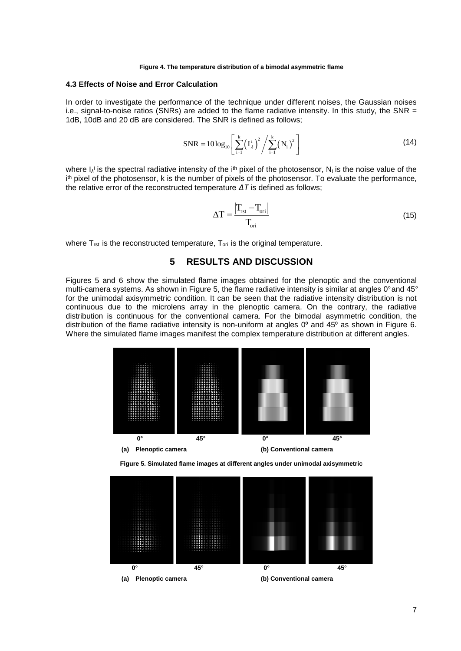#### **Figure 4. The temperature distribution of a bimodal asymmetric flame**

#### **4.3 Effects of Noise and Error Calculation**

In order to investigate the performance of the technique under different noises, the Gaussian noises i.e., signal-to-noise ratios (SNRs) are added to the flame radiative intensity. In this study, the SNR = 1dB, 10dB and 20 dB are considered. The SNR is defined as follows;

$$
SNR = 10 \log_{10} \left[ \sum_{i=1}^{k} \left( I_{\lambda}^{i} \right)^{2} / \sum_{i=1}^{k} \left( N_{i} \right)^{2} \right]
$$
 (14)

where  $I_{\lambda}$ <sup>i</sup> is the spectral radiative intensity of the i<sup>th</sup> pixel of the photosensor, N<sub>i</sub> is the noise value of the i<sup>th</sup> pixel of the photosensor, k is the number of pixels of the photosensor. To evaluate the performance, the relative error of the reconstructed temperature  $\Delta T$  is defined as follows;

$$
\Delta T = \frac{\left|T_{\rm{rst}} - T_{\rm{ori}}\right|}{T_{\rm{ori}}}
$$
\n(15)

where  $T_{\text{rst}}$  is the reconstructed temperature,  $T_{\text{ori}}$  is the original temperature.

#### **5 RESULTS AND DISCUSSION**

Figures 5 and 6 show the simulated flame images obtained for the plenoptic and the conventional multi-camera systems. As shown in Figure 5, the flame radiative intensity is similar at angles 0° and 45° for the unimodal axisymmetric condition. It can be seen that the radiative intensity distribution is not continuous due to the microlens array in the plenoptic camera. On the contrary, the radiative distribution is continuous for the conventional camera. For the bimodal asymmetric condition, the distribution of the flame radiative intensity is non-uniform at angles  $0^{\circ}$  and  $45^{\circ}$  as shown in Figure 6. Where the simulated flame images manifest the complex temperature distribution at different angles.





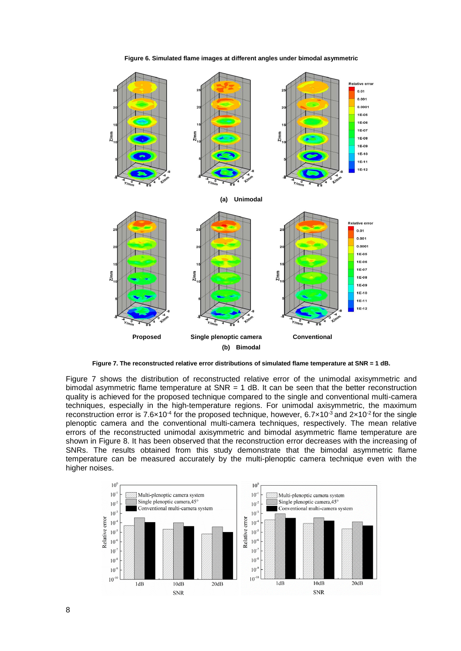

**Figure 6. Simulated flame images at different angles under bimodal asymmetric** 

**Figure 7. The reconstructed relative error distributions of simulated flame temperature at SNR = 1 dB.** 

Figure 7 shows the distribution of reconstructed relative error of the unimodal axisymmetric and bimodal asymmetric flame temperature at SNR = 1 dB. It can be seen that the better reconstruction quality is achieved for the proposed technique compared to the single and conventional multi-camera techniques, especially in the high-temperature regions. For unimodal axisymmetric, the maximum reconstruction error is 7.6 $\times$ 10<sup>-4</sup> for the proposed technique, however, 6.7 $\times$ 10<sup>-3</sup> and 2 $\times$ 10<sup>-2</sup> for the single plenoptic camera and the conventional multi-camera techniques, respectively. The mean relative errors of the reconstructed unimodal axisymmetric and bimodal asymmetric flame temperature are shown in Figure 8. It has been observed that the reconstruction error decreases with the increasing of SNRs. The results obtained from this study demonstrate that the bimodal asymmetric flame temperature can be measured accurately by the multi-plenoptic camera technique even with the higher noises.

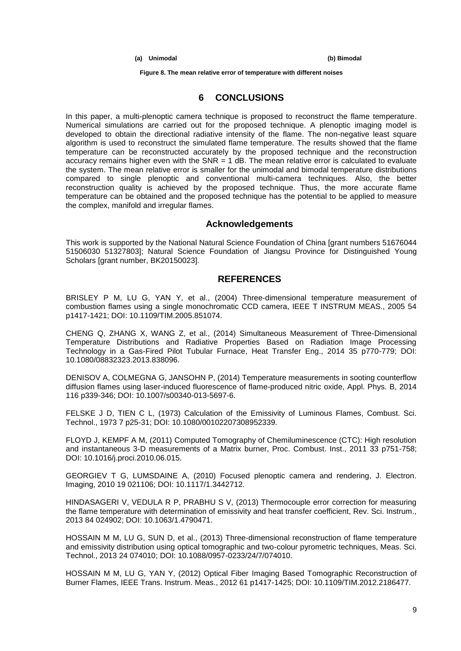**(a) Unimodal (b) Bimodal** 

**Figure 8. The mean relative error of temperature with different noises** 

#### **6 CONCLUSIONS**

In this paper, a multi-plenoptic camera technique is proposed to reconstruct the flame temperature. Numerical simulations are carried out for the proposed technique. A plenoptic imaging model is developed to obtain the directional radiative intensity of the flame. The non-negative least square algorithm is used to reconstruct the simulated flame temperature. The results showed that the flame temperature can be reconstructed accurately by the proposed technique and the reconstruction accuracy remains higher even with the SNR = 1 dB. The mean relative error is calculated to evaluate the system. The mean relative error is smaller for the unimodal and bimodal temperature distributions compared to single plenoptic and conventional multi-camera techniques. Also, the better reconstruction quality is achieved by the proposed technique. Thus, the more accurate flame temperature can be obtained and the proposed technique has the potential to be applied to measure the complex, manifold and irregular flames.

#### **Acknowledgements**

This work is supported by the National Natural Science Foundation of China [grant numbers 51676044 51506030 51327803]; Natural Science Foundation of Jiangsu Province for Distinguished Young Scholars [grant number, BK20150023].

#### **REFERENCES**

BRISLEY P M, LU G, YAN Y, et al., (2004) Three-dimensional temperature measurement of combustion flames using a single monochromatic CCD camera, IEEE T INSTRUM MEAS., 2005 54 p1417-1421; DOI: 10.1109/TIM.2005.851074.

CHENG Q, ZHANG X, WANG Z, et al., (2014) Simultaneous Measurement of Three-Dimensional Temperature Distributions and Radiative Properties Based on Radiation Image Processing Technology in a Gas-Fired Pilot Tubular Furnace, Heat Transfer Eng., 2014 35 p770-779; DOI: 10.1080/08832323.2013.838096.

DENISOV A, COLMEGNA G, JANSOHN P, (2014) Temperature measurements in sooting counterflow diffusion flames using laser-induced fluorescence of flame-produced nitric oxide, Appl. Phys. B, 2014 116 p339-346; DOI: 10.1007/s00340-013-5697-6.

FELSKE J D, TIEN C L, (1973) Calculation of the Emissivity of Luminous Flames, Combust. Sci. Technol., 1973 7 p25-31; DOI: 10.1080/00102207308952339.

FLOYD J, KEMPF A M, (2011) Computed Tomography of Chemiluminescence (CTC): High resolution and instantaneous 3-D measurements of a Matrix burner, Proc. Combust. Inst., 2011 33 p751-758; DOI: 10.1016/j.proci.2010.06.015.

GEORGIEV T G, LUMSDAINE A, (2010) Focused plenoptic camera and rendering, J. Electron. Imaging, 2010 19 021106; DOI: 10.1117/1.3442712.

HINDASAGERI V, VEDULA R P, PRABHU S V, (2013) Thermocouple error correction for measuring the flame temperature with determination of emissivity and heat transfer coefficient, Rev. Sci. Instrum., 2013 84 024902; DOI: 10.1063/1.4790471.

HOSSAIN M M, LU G, SUN D, et al., (2013) Three-dimensional reconstruction of flame temperature and emissivity distribution using optical tomographic and two-colour pyrometric techniques, Meas. Sci. Technol., 2013 24 074010; DOI: 10.1088/0957-0233/24/7/074010.

HOSSAIN M M, LU G, YAN Y, (2012) Optical Fiber Imaging Based Tomographic Reconstruction of Burner Flames, IEEE Trans. Instrum. Meas., 2012 61 p1417-1425; DOI: 10.1109/TIM.2012.2186477.